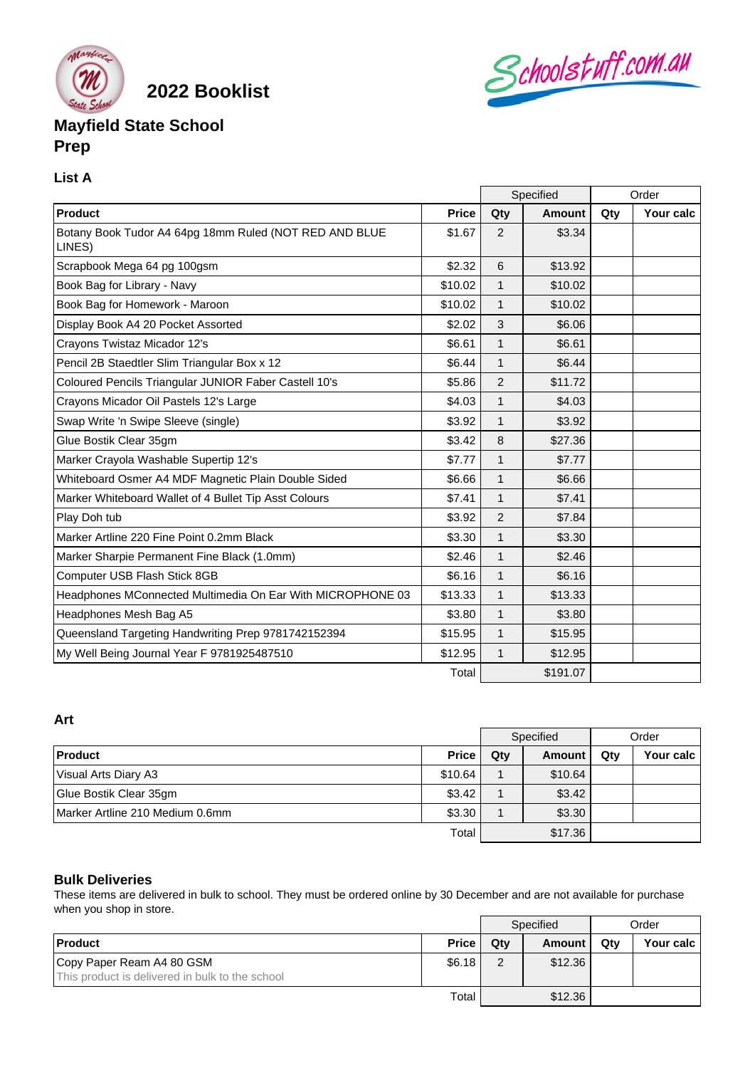

**2022 Booklist**

# **Mayfield State School Prep**

#### **List A**

|                                                                  |              | Specified      |          | Order |           |
|------------------------------------------------------------------|--------------|----------------|----------|-------|-----------|
| Product                                                          | <b>Price</b> | Qty            | Amount   | Qty   | Your calc |
| Botany Book Tudor A4 64pg 18mm Ruled (NOT RED AND BLUE<br>LINES) | \$1.67       | 2              | \$3.34   |       |           |
| Scrapbook Mega 64 pg 100gsm                                      | \$2.32       | 6              | \$13.92  |       |           |
| Book Bag for Library - Navy                                      | \$10.02      | 1              | \$10.02  |       |           |
| Book Bag for Homework - Maroon                                   | \$10.02      | $\mathbf{1}$   | \$10.02  |       |           |
| Display Book A4 20 Pocket Assorted                               | \$2.02       | 3              | \$6.06   |       |           |
| Crayons Twistaz Micador 12's                                     | \$6.61       | 1              | \$6.61   |       |           |
| Pencil 2B Staedtler Slim Triangular Box x 12                     | \$6.44       | 1              | \$6.44   |       |           |
| Coloured Pencils Triangular JUNIOR Faber Castell 10's            | \$5.86       | 2              | \$11.72  |       |           |
| Crayons Micador Oil Pastels 12's Large                           | \$4.03       | 1              | \$4.03   |       |           |
| Swap Write 'n Swipe Sleeve (single)                              | \$3.92       | $\mathbf{1}$   | \$3.92   |       |           |
| Glue Bostik Clear 35gm                                           | \$3.42       | 8              | \$27.36  |       |           |
| Marker Crayola Washable Supertip 12's                            | \$7.77       | $\mathbf{1}$   | \$7.77   |       |           |
| Whiteboard Osmer A4 MDF Magnetic Plain Double Sided              | \$6.66       | $\mathbf{1}$   | \$6.66   |       |           |
| Marker Whiteboard Wallet of 4 Bullet Tip Asst Colours            | \$7.41       | $\mathbf{1}$   | \$7.41   |       |           |
| Play Doh tub                                                     | \$3.92       | $\overline{2}$ | \$7.84   |       |           |
| Marker Artline 220 Fine Point 0.2mm Black                        | \$3.30       | $\mathbf{1}$   | \$3.30   |       |           |
| Marker Sharpie Permanent Fine Black (1.0mm)                      | \$2.46       | $\mathbf{1}$   | \$2.46   |       |           |
| Computer USB Flash Stick 8GB                                     | \$6.16       | $\mathbf{1}$   | \$6.16   |       |           |
| Headphones MConnected Multimedia On Ear With MICROPHONE 03       | \$13.33      | $\mathbf{1}$   | \$13.33  |       |           |
| Headphones Mesh Bag A5                                           | \$3.80       | $\mathbf{1}$   | \$3.80   |       |           |
| Queensland Targeting Handwriting Prep 9781742152394              | \$15.95      | $\mathbf{1}$   | \$15.95  |       |           |
| My Well Being Journal Year F 9781925487510                       | \$12.95      | $\mathbf{1}$   | \$12.95  |       |           |
|                                                                  | Total        |                | \$191.07 |       |           |

Schoolstuff.com.au

### **Art**

|                                 |              | Specified |         | Order |           |
|---------------------------------|--------------|-----------|---------|-------|-----------|
| <b>Product</b>                  | <b>Price</b> | Qty       | Amount  | Qty   | Your calc |
| Visual Arts Diary A3            | \$10.64      |           | \$10.64 |       |           |
| Glue Bostik Clear 35gm          | \$3.42       |           | \$3.42  |       |           |
| Marker Artline 210 Medium 0.6mm | \$3.30       |           | \$3.30  |       |           |
|                                 | Total        |           | \$17.36 |       |           |

#### **Bulk Deliveries**

These items are delivered in bulk to school. They must be ordered online by 30 December and are not available for purchase when you shop in store.

|                                                 |              |                | Specified |     | Order       |  |
|-------------------------------------------------|--------------|----------------|-----------|-----|-------------|--|
| <b>Product</b>                                  | <b>Price</b> | Qtv            | Amount    | Qtv | Your calc I |  |
| Copy Paper Ream A4 80 GSM                       | \$6.18       | $\overline{2}$ | \$12.36   |     |             |  |
| This product is delivered in bulk to the school |              |                |           |     |             |  |
|                                                 | Total        |                | \$12.36   |     |             |  |